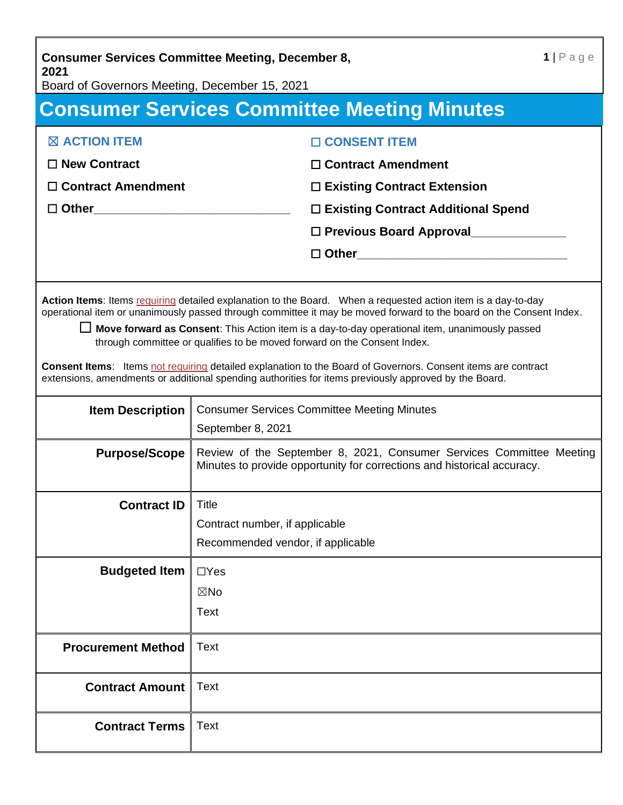**Consumer Services Committee Meeting, December 8, 2021**

Board of Governors Meeting, December 15, 2021

## **Consumer Services Committee Meeting Minutes**

| <b>EX ACTION ITEM</b>     | □ CONSENT ITEM                            |
|---------------------------|-------------------------------------------|
| $\Box$ New Contract       | $\Box$ Contract Amendment                 |
| $\Box$ Contract Amendment | $\Box$ Existing Contract Extension        |
|                           | $\Box$ Existing Contract Additional Spend |
|                           | □ Previous Board Approval                 |
|                           |                                           |
|                           |                                           |

**Action Items**: Items requiring detailed explanation to the Board. When a requested action item is a day-to-day operational item or unanimously passed through committee it may be moved forward to the board on the Consent Index.

☐ **Move forward as Consent**: This Action item is a day-to-day operational item, unanimously passed through committee or qualifies to be moved forward on the Consent Index.

**Consent Items**: Items not requiring detailed explanation to the Board of Governors. Consent items are contract extensions, amendments or additional spending authorities for items previously approved by the Board.

| <b>Item Description</b>   | <b>Consumer Services Committee Meeting Minutes</b><br>September 8, 2021                                                                         |
|---------------------------|-------------------------------------------------------------------------------------------------------------------------------------------------|
| <b>Purpose/Scope</b>      | Review of the September 8, 2021, Consumer Services Committee Meeting<br>Minutes to provide opportunity for corrections and historical accuracy. |
| <b>Contract ID</b>        | Title                                                                                                                                           |
|                           | Contract number, if applicable<br>Recommended vendor, if applicable                                                                             |
| <b>Budgeted Item</b>      | $\Box$ Yes                                                                                                                                      |
|                           | $\boxtimes$ No                                                                                                                                  |
|                           | Text                                                                                                                                            |
| <b>Procurement Method</b> | <b>Text</b>                                                                                                                                     |
| <b>Contract Amount</b>    | Text                                                                                                                                            |
| <b>Contract Terms</b>     | <b>Text</b>                                                                                                                                     |